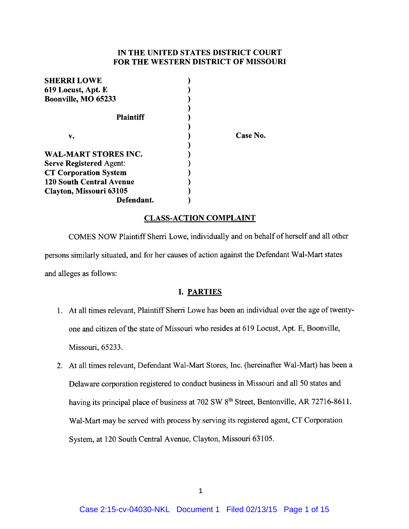## IN THE UNITED STATES DISTRICT COURT FOR THE WESTERN DISTRICT OF MISSOURI

| <b>SHERRI LOWE</b>              |          |
|---------------------------------|----------|
| 619 Locust, Apt. E              |          |
| Boonville, MO 65233             |          |
|                                 |          |
| <b>Plaintiff</b>                |          |
|                                 |          |
| v.                              | Case No. |
|                                 |          |
| WAL-MART STORES INC.            |          |
| <b>Serve Registered Agent:</b>  |          |
| <b>CT Corporation System</b>    |          |
| <b>120 South Central Avenue</b> |          |
| Clayton, Missouri 63105         |          |
| Defendant.                      |          |

#### CLASS-ACTION COMPLAINT

COMES NOW Plaintiff Sherri Lowe, individually and on behalf of herself and all other persons similarly situated, and for her causes of action against the Defendant Wal-Mart states and alleges as follows:

## I. PARTIES

- 1. At all times relevant, Plaintiff Sherri Lowe has been an individual over the age of twentyone and citizen of the state of Missouri who resides at 619 Locust, Apt. E, Boonville, Missouri, 65233.
- 2. At all times relevant, Defendant Wal-Mart Stores, Inc. (hereinafter Wal-Mart) has been a Delaware corporation registered to conduct business in Missouri and a1150 states and having its principal place of business at 702 SW 8<sup>th</sup> Street, Bentonville, AR 72716-8611. Wal-Mart may be served with process by serving its registered agent, CT Corporation System, at 120 South Central Avenue, Clayton, Missouri 63105.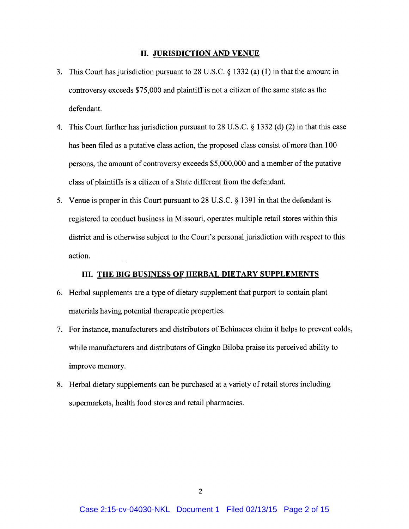#### II. JURISDICTION AND VENUE

- 3. This Court has jurisdiction pursuant to 28 U.S.C. § 1332 (a) (1) in that the amount in controversy exceeds \$75,000 and plaintiff is not a citizen of the same state as the defendant.
- 4. This Court further has jurisdiction pursuant to 28 U.S.C. § 1332 (d) (2) in that this case has been filed as a putative class action, the proposed class consist of more than 100 persons, the amount of controversy exceeds \$5,000,000 and a member of the putative class of plaintiffs is a citizen of a State different from the defendant.
- 5. Venue is proper in this Court pursuant to 28 U.S.C. § 1391 in that the defendant is registered to conduct business in Missouri, operates multiple retail stores within this district and is otherwise subject to the Court's personal jurisdiction with respect to this action.

#### III. THE BIG BUSINESS OF HERBAL DIETARY SUPPLEMENTS

- 6. Herbal supplements are a type of dietary supplement that purport to contain plant materials having potential therapeutic properties.
- 7. For instance, manufacturers and distributors of Echinacea claim it helps to prevent colds, while manufacturers and distributors of Gingko Biloba praise its perceived ability to improve memory.
- 8. Herbal dietary supplements can be purchased at a variety of retail stores including supermarkets, health food stores and retail pharmacies.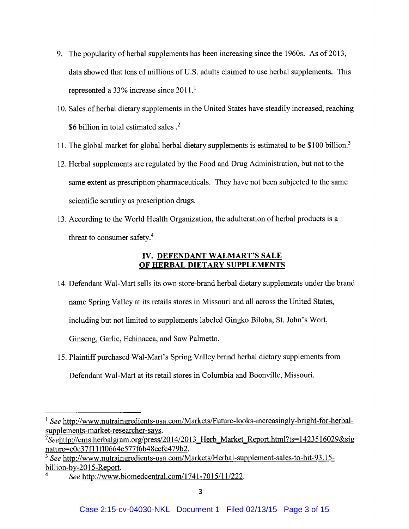- 9. The popularity of herbal supplements has been increasing since the 1960s. As of 2013, data showed that tens of millions of U.S. adults claimed to use herbal supplements. This represented a 33% increase since  $2011$ .<sup>1</sup>
- 10. Sales of herbal dietary supplements in the United States have steadily increased, reaching \$6 billion in total estimated sales .2
- 11. The global market for global herbal dietary supplements is estimated to be \$100 billion.<sup>3</sup>
- 12. Herbal supplements are regulated by the Food and Drug Administration, but not to the same extent as prescription pharmaceuticals. They have not been subjected to the same scientific scrutiny as prescription drugs.
- 13. According to the World Health Organization, the adulteration of herbal products is a threat to consumer safety.4

# IV. DEFENDANT WALMART'S SALE OF HERBAL DIETARY SUPPLEMENTS

- 14. Defendant Wal-Mart sells its own store-brand herbal dietary supplements under the brand name Spring Valley at its retails stores in Missouri and all across the United States, including but not limited to supplements labeled Gingko Biloba, St. John's Wort, Ginseng, Garlic, Echinacea, and Saw Palmetto.
- 15. Plaintiff purchased Wal-Mart's Spring Valley brand herbal dietary supplements from Defendant Wal-Mart at its retail stores in Columbia and Boonville, Missouri.

<sup>&</sup>lt;sup>1</sup> See http://www.nutraingredients-usa.com/Markets/Future-looks-increasingly-bright-for-herbalsupplements-market-researcher-says.

<sup>&</sup>lt;sup>2</sup>Seehttp://cms.herbalgram.org/press/2014/2013 Herb Market Report.html?ts=1423516029&sig nature=e0c37f11ff0664e577f6b48ccfc479b2.

<sup>&</sup>lt;sup>3</sup> See http://www.nutraingredients-usa.com/Markets/Herbal-supplement-sales-to-hit-93.15billion-bv-2015-Report.

See http://www.biomedcentral.com/1741-7015/11/222.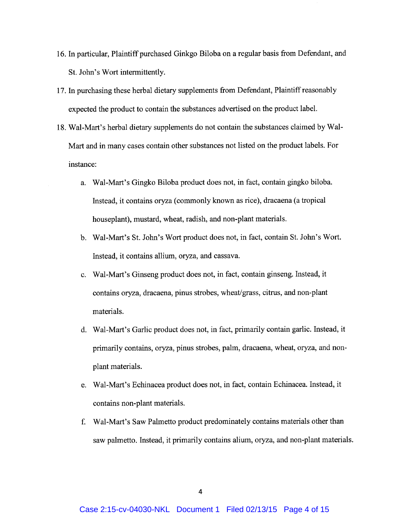- 16. In particular, Plaintiff purchased Ginkgo Biloba on a regular basis from Defendant, and St. John's Wort intermittently.
- 17. In purchasing these herbal dietary supplements from Defendant, Plaintiff reasonably expected the product to contain the substances advertised on the product label.
- 18. Wal-Mart's herbal dietary supplements do not contain the substances claimed by Wal-Mart and in many cases contain other substances not listed on the product labels. For instance:
	- a. Wal-Mart's Gingko Biloba product does not, in fact, contain gingko biloba. Instead, it contains oryza (commonly known as rice), dracaena (a tropical houseplant), mustard, wheat, radish, and non-plant materials.
	- b. Wal-Mart's St. John's Wort product does not, in fact, contain St. John's Wort. Instead, it contains allium, oryza, and cassava.
	- c. Wal-Mart's Ginseng product does not, in fact, contain ginseng. Instead, it contains oryza, dracaena, pinus strobes, wheat/grass, citrus, and non-plant materials.
	- d. Wal-Mart's Garlic product does not, in fact, primarily contain garlic. Instead, it primarily contains, oryza, pinus strobes, palm, dracaena, wheat, oryza, and nonplant materials.
	- e. Wal-Mart's Echinacea product does not, in fact, contain Echinacea. Instead, it contains non-plant materials.
	- f. Wal-Mart's Saw Palmetto product predominately contains materials other than saw palmetto. Instead, it primarily contains alium, oryza, and non-plant materials.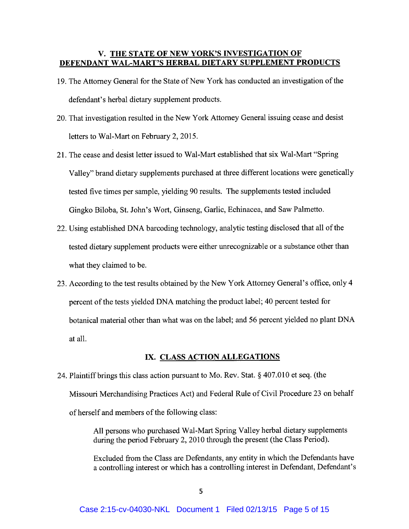## V. THE STATE OF NEW YORK'S INVESTIGATION OF DEFENDANT WAL-MART'S HERBAL DIETARY SUPPLEMENT PRODUCTS

- 19. The Attorney General for the State of New York has conducted an investigation of the defendant's herbal dietary supplement products.
- 20. That investigation resulted in the New York Attorney General issuing cease and desist letters to Wal-Mart on February 2, 2015.
- 21. The cease and desist letter issued to Wal-Mart established that six Wal-Mart "Spring Valley" brand dietary supplements purchased at three different locations were genetically tested five times per sample, yielding 90 results. The supplements tested included Gingko Biloba, St. John's Wort, Ginseng, Garlic, Echinacea, and Saw Palmetto.
- 22. Using established DNA barcoding technology, analytic testing disclosed that all of the tested dietary supplement products were either unrecognizable or a substance other than what they claimed to be.
- 23. According to the test results obtained by the New York Attorney General's office, only 4 percent of the tests yielded DNA matching the product label; 40 percent tested for botanical material other than what was on the label; and 56 percent yielded no plant DNA at all.

## IX. CLASS ACTION ALLEGATIONS

24. Plaintiff brings this class action pursuant to Mo. Rev. Stat. § 407.010 et seq. (the Missouri Merchandising Practices Act) and Federal Rule of Civil Procedure 23 on behalf of herself and members of the following class:

> All persons who purchased Wal-Mart Spring Valley herbal dietary supplements during the period February 2, 2010 through the present (the Class Period).

Excluded from the Class are Defendants, any entity in which the Defendants have a controlling interest or which has a controlling interest in Defendant, Defendant's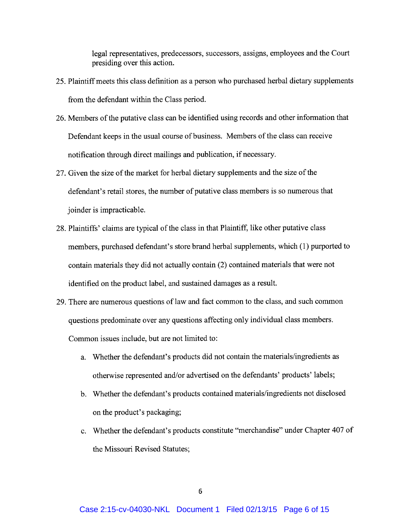legal representatives, predecessors, successors, assigns, employees and the Court presiding over this action.

- 25. Plaintiff meets this class definition as a person who purchased herbal dietary supplements from the defendant within the Class period.
- 26. Members of the putative class can be identified using records and other information that Defendant keeps in the usual course of business. Members of the class can receive notification through direct mailings and publication, if necessary.
- 27. Given the size of the market for herbal dietary supplements and the size of the defendant's retail stores, the number of putative class members is so numerous that joinder is impracticable.
- 28. Plaintiffs' claims are typical of the class in that Plaintiff, like other putative class members, purchased defendant's store brand herbal supplements, which (1) purported to contain materials they did not actually contain (2) contained materials that were not identified on the product label, and sustained damages as a result.
- 29. There are numerous questions of law and fact common to the class, and such common questions predominate over any questions affecting only individual class members. Common issues include, but are not limited to:
	- a. Whether the defendant's products did not contain the materials/ingredients as otherwise represented and/or advertised on the defendants' products' labels;
	- b. Whether the defendant's products contained materials/ingredients not disclosed on the product's packaging;
	- c. Whether the defendant's products constitute "merchandise" under Chapter 407 of the Missouri Revised Statutes;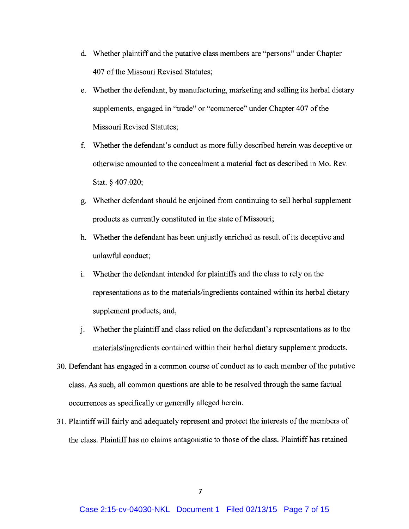- d. Whether plaintiff and the putative class members are "persons" under Chapter 407 of the Missouri Revised Statutes;
- e. Whether the defendant, by manufacturing, marketing and selling its herbal dietary supplements, engaged in "trade" or "commerce" under Chapter 407 of the Missouri Revised Statutes;
- f. Whether the defendant's conduct as more fully described herein was deceptive or otherwise amounted to the concealment a material fact as described in Mo. Rev. Stat. § 407.020;
- g. Whether defendant should be enjoined from continuing to sell herbal supplement products as currently constituted in the state of Missouri;
- h. Whether the defendant has been unjustly enriched as result of its deceptive and unlawful conduct;
- i. Whether the defendant intended for plaintiffs and the class to rely on the representations as to the materials/ingredients contained within its herbal dietary supplement products; and,
- j. Whether the plaintiff and class relied on the defendant's representations as to the materials/ingredients contained within their herbal dietary supplement products.
- 30. Defendant has engaged in a common course of conduct as to each member of the putative class. As such, all common questions are able to be resolved through the same factual occurrences as specifically or generally alleged herein.
- 31. Plaintiff will fairly and adequately represent and protect the interests of the members of the class. Plaintiff has no claims antagonistic to those of the class. Plaintiff has retained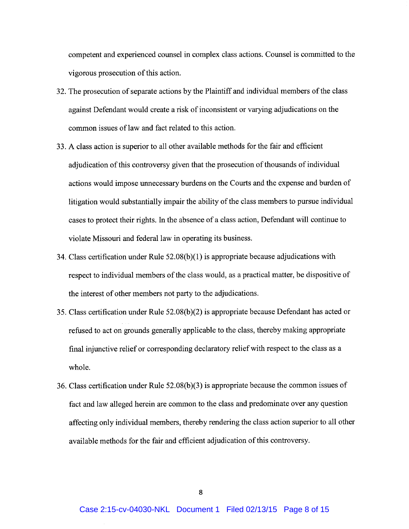competent and experienced counsel in complex class actions. Counsel is committed to the vigorous prosecution of this action.

- 32. The prosecution of separate actions by the Plaintiff and individual members of the class against Defendant would create a risk of inconsistent or varying adjudications on the common issues of law and fact related to this action.
- 33. A class action is superior to all other available methods for the fair and efficient adjudication of this controversy given that the prosecution of thousands of individual actions would impose unnecessary burdens on the Courts and the expense and burden of litigation would substantially impair the ability of the class members to pursue individual cases to protect their rights. In the absence of a class action, Defendant will continue to violate Missouri and federal law in operating its business.
- 34. Class certification under Rule 52.08(b)(1) is appropriate because adjudications with respect to individual members of the class would, as a practical matter, be dispositive of the interest of other members not party to the adjudications.
- 35. Class certification under Rule 52.08(b)(2) is appropriate because Defendant has acted or refused to act on grounds generally applicable to the class, thereby making appropriate final injunctive relief or corresponding declaratory relief with respect to the class as a whole.
- 36. Class certification under Rule 52.08(b)(3) is appropriate because the common issues of fact and law alleged herein are common to the class and predominate over any question affecting only individual members, thereby rendering the class action superior to all other available methods for the fair and efficient adjudication of this controversy.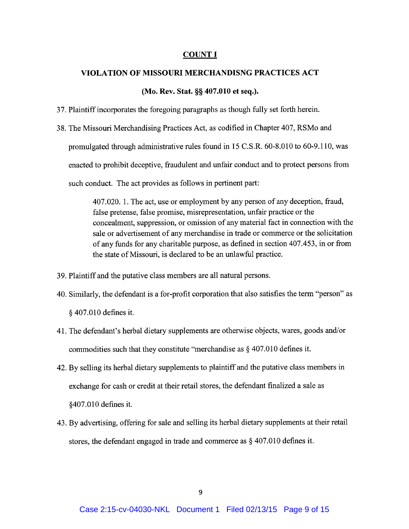### COUNTI

#### VIOLATION OF MISSOURI MERCHANDISNG PRACTICES ACT

#### (Mo. Rev. Stat. §§ 407.010 et seq.).

- 37. Plaintiff incorporates the foregoing paragraphs as though fully set forth herein.
- 38. The Missouri Merchandising Practices Act, as codified in Chapter 407, RSMo and promulgated through administrative rules found in 15 C.S.R. 60-8.010 to 60-9.110, was enacted to prohibit deceptive, fraudulent and unfair conduct and to protect persons from such conduct. The act provides as follows in pertinent part:

407.020. 1. The act, use or employment by any person of any deception, fraud, false pretense, false promise, misrepresentation, unfair practice or the concealment, suppression, or omission of any material fact in connection with the sale or advertisement of any merchandise in trade or commerce or the solicitation of any funds for any charitable purpose, as defined in section 407.453, in or from the state of Missouri, is declared to be an unlawful practice.

- 39. Plaintiff and the putative class members are all natural persons.
- 40. Similarly, the defendant is afor-profit corporation that also satisfies the term "person" as § 407.010 defines it.
- 41. The defendant's herbal dietary supplements are otherwise objects, wares, goods and/or commodities such that they constitute "merchandise as § 407.010 defines it.
- 42. By selling its herbal dietary supplements to plaintiff and the putative class members in exchange for cash or credit at their retail stores, the defendant finalized a sale as §407.010 defines it.
- 43. By advertising, offering for sale and selling its herbal dietary supplements at their retail stores, the defendant engaged in trade and commerce as § 407.010 defines it.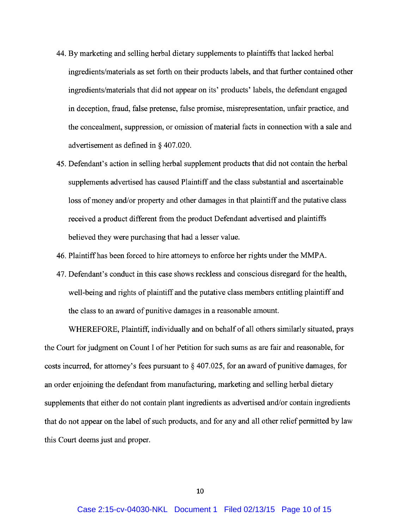- 44. By marketing and selling herbal dietary supplements to plaintiffs that lacked herbal ingredients/materials as set forth on their products labels, and that further contained other ingredients/materials that did not appear on its' products' labels, the defendant engaged in deception, fraud, false pretense, false promise, misrepresentation, unfair practice, and the concealment, suppression, or omission of material facts in connection with a sale and advertisement as defined in § 407.020.
- 45. Defendant's action in selling herbal supplement products that did not contain the herbal supplements advertised has caused Plaintiff and the class substantial and ascertainable loss of money and/or property and other damages in that plaintiff and the putative class received a product different from the product Defendant advertised and plaintiffs believed they were purchasing that had a lesser value.
- 46. Plaintiff has been forced to hire attorneys to enforce her rights under the MMPA.
- 47. Defendant's conduct in this case shows reckless and conscious disregard for the health, well-being and rights of plaintiff and the putative class members entitling plaintiff and the class to an award of punitive damages in a reasonable amount.

WHEREFORE, Plaintiff, individually and on behalf of all others similarly situated, prays the Court for judgment on Count I of her Petition for such sums as are fair and reasonable, for costs incurred, for attorney's fees pursuant to § 407.025, for an award of punitive damages, for an order enjoining the defendant from manufacturing, marketing and selling herbal dietary supplements that either do not contain plant ingredients as advertised and/or contain ingredients that do not appear on the label of such products, and for any and all other relief permitted by law this Court deems just and proper.

10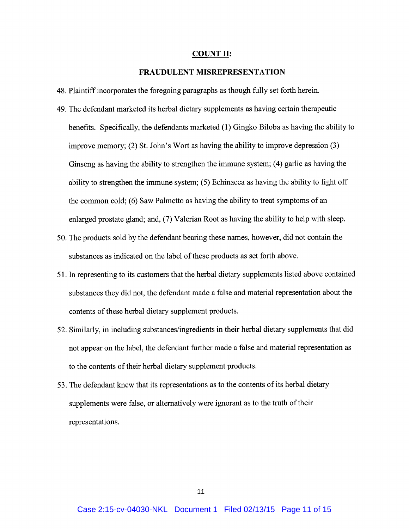#### COUNT II:

#### FRAUDULENT MISREPRESENTATION

- 48. Plaintiff incorporates the foregoing paragraphs as though fully set forth herein.
- 49. The defendant marketed its herbal dietary supplements as having certain therapeutic benefits. Specifically, the defendants marketed (1) Gingko Biloba as having the ability to improve memory; (2) St. John's Wort as having the ability to improve depression (3) Ginseng as having the ability to strengthen the immune system; (4) garlic as having the ability to strengthen the immune system; (5) Echinacea as having the ability to fight off the common cold; (6) Saw Palmetto as having the ability to treat symptoms of an enlarged prostate gland; and, (7) Valerian Root as having the ability to help with sleep.
- 50. The products sold by the defendant bearing these names, however, did not contain the substances as indicated on the label of these products as set forth above.
- 51. In representing to its customers that the herbal dietary supplements listed above contained substances they did not, the defendant made a false and material representation about the contents of these herbal dietary supplement products.
- 52. Similarly, in including substances/ingredients in their herbal dietary supplements that did not appear on the label, the defendant further made a false and material representation as to the contents of their herbal dietary supplement products.
- 53. The defendant knew that its representations as to the contents of its herbal dietary supplements were false, or alternatively were ignorant as to the truth of their representations.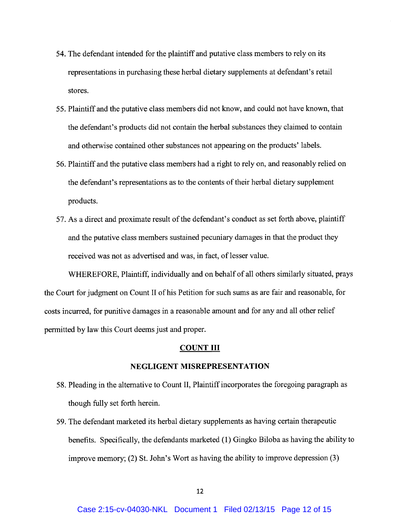- 54. The defendant intended for the plaintiff and putative class members to rely on its representations in purchasing these herbal dietary supplements at defendant's retail stores.
- 55. Plaintiff and the putative class members did not know, and could not have known, that the defendant's products did not contain the herbal substances they claimed to contain and otherwise contained other substances not appearing on the products' labels.
- 56. Plaintiff and the putative class members had a right to rely on, and reasonably relied on the defendant's representations as to the contents of their herbal dietary supplement products.
- 57. As a direct and proximate result of the defendant's conduct as set forth above, plaintiff and the putative class members sustained pecuniary damages in that the product they received was not as advertised and was, in fact, of lesser value.

WHEREFORE, Plaintiff, individually and on behalf of all others similarly situated, prays the Court for judgment on Count II of his Petition for such sums as are fair and reasonable, for costs incurred, for punitive damages in a reasonable amount and for any and all other relief permitted by law this Court deems just and proper.

#### COUNT III

### NEGLIGENT MISREPRESENTATION

- 58. Pleading in the alternative to Count II, Plaintiff incorporates the foregoing paragraph as though fully set forth herein.
- 59. The defendant marketed its herbal dietary supplements as having certain therapeutic benefits. Specifically, the defendants marketed (1) Gingko Biloba as having the ability to improve memory; (2) St. John's Wort as having the ability to improve depression (3)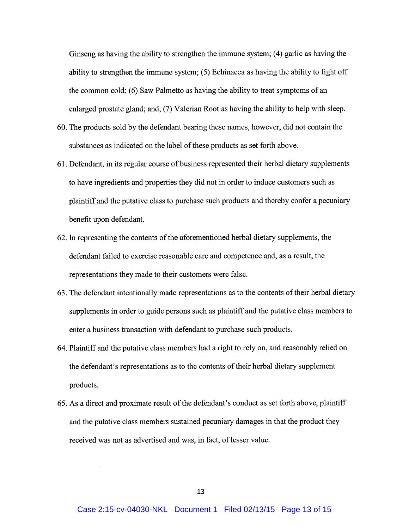Ginseng as having the ability to strengthen the immune system; (4) garlic as having the ability to strengthen the immune system; (5) Echinacea as having the ability to fight off the common cold; (6) Saw Palmetto as having the ability to treat symptoms of an enlarged prostate gland; and, (7) Valerian Root as having the ability to help with sleep.

- 60. The products sold by the defendant bearing these names, however, did not contain the substances as indicated on the label of these products as set forth above.
- 61. Defendant, in its regular course of business represented their herbal dietary supplements to have ingredients and properties they did not in order to induce customers such as plaintiff and the putative class to purchase such products and thereby confer a pecuniary benefit upon defendant.
- 62. In representing the contents of the aforementioned herbal dietary supplements, the defendant failed to exercise reasonable care and competence and, as a result, the representations they made to their customers were false.
- 63. The defendant intentionally made representations as to the contents of their herbal dietary supplements in order to guide persons such as plaintiff and the putative class members to enter a business transaction with defendant to purchase such products.
- 64. Plaintiff and the putative class members had a right to rely on, and reasonably relied on the defendant's representations as to the contents of their herbal dietary supplement products.
- 65. As a direct and proximate result of the defendant's conduct as set forth above, plaintiff and the putative class members sustained pecuniary damages in that the product they received was not as advertised and was, in fact, of lesser value.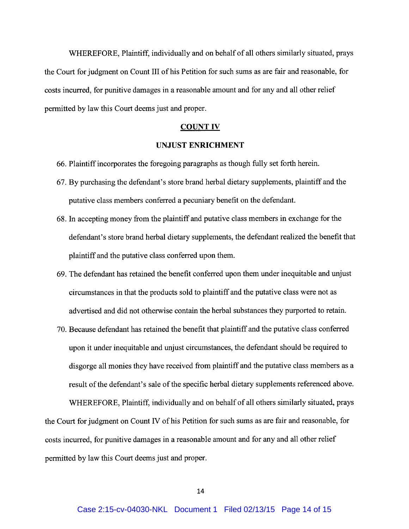WHEREFORE, Plaintiff, individually and on behalf of all others similarly situated, prays the Court for judgment on Count III of his Petition for such sums as are fair and reasonable, for costs incurred, for punitive damages in a reasonable amount and for any and all other relief permitted by law this Court deems just and proper.

#### COUNT IV

## UNJUST ENRICHMENT

- 66. Plaintiff incorparates the foregoing paragraphs as though fully set forth herein.
- 67. By purchasing the defendant's store brand herbal dietary supplements, plaintiff and the putative class members conferred a pecuniary benefit on the defendant.
- 68. In accepting money from the plaintiff and putative class members in exchange for the defendant's store brand herbal dietary supplements, the defendant realized the benefit that plaintiff and the putative class conferred upon them.
- 69. The defendant has retained the benefit conferred upon them under inequitable and unjust circumstances in that the products sold to plaintiff and the putative class were not as advertised and did not otherwise contain the herbal substances they purported to retain.
- 70. Because defendant has retained the benefit that plaintiff and the putative class conferred upon it under inequitable and unjust circumstances, the defendant should be required to disgorge all monies they have received from plaintiff and the putative class members as a result of the defendant's sale of the specific herbal dietary supplements referenced above.

WHEREFORE, Plaintiff, individually and on behalf of all others similarly situated, prays the Court for judgment on Count IV of his Petition for such sums as are fair and reasonable, for costs incurred, for punitive damages in a reasonable amount and for any and all other relief permitted by law this Court deems just and proper.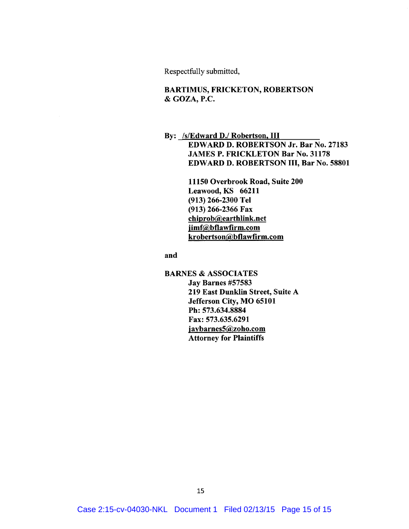Respectfully submitted,

## BARTIMUS, FRICKETON, ROBERTSON & GOZA, P.C.

# By: /s/Edward D./ Robertson, III EDWARD D. ROBERTSON Jr. Bar No. 27183 JAMES P. FRICKLETON Bar No. 31178 EDWARD D. ROBERTSON III, Bar No. 58801

11150 Overbrook Road, Suite 200 Leawood, KS 66211 (913) 266-2300 Tel (913) 266-2366 Fax chiprob@earthlink.net jimf@bflawfirm.com krobertson@bflawfirm.com

and

**BARNES & ASSOCIATES** Jay Barnes #57583 219 East Dunklin Street, Suite A Jefferson City, MO 65101 Ph: 573.634.8884 Fax: 573.635.6291 jaybarnes5@zoho.com Attorney for Plaintiffs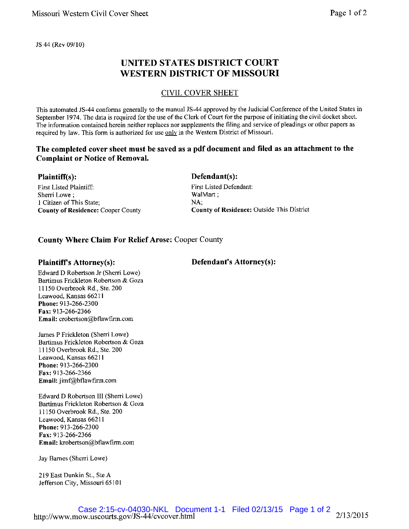JS 44 (Rev 09/10)

# UNITED STATES DISTRICT COURT WESTERN DISTRICT OF MISSOURI

## CIVIL COVER SHEET

This automated JS-44 conforms generally to the manual JS-44 approved by the Judicial Conference of the United States in September 1974. The data is required for the use of the Clerk of Court for the purpose of initiating the civil docket sheet. The information contained herein neither replaces nor supplements the filing and service of pleadings or other papers as required by law. This form is authorized for use only in the Western District of Missouri.

## The completed cover sheet must be saved as a pdf document and filed as an attachment to the Complaint or Notice of Removal.

## Plaintiff(s):

First Listed Plaintiff: Sherri Lowe; 1 Citizen of This State; County of Residence: Cooper County

# Defendant(s):

First Listed Defendant: WalMart ; NA; County of Residence: Outside This District

Defendant's Attorney(s):

## County Where Claim For Relief Arose: Cooper County

## Plaintiff's Attorney(s):

Edward D Robertson Jr (Sheri Lowe) Bartimus Frickleton Robertson & Goza 11150 Overbrook Rd., Ste. 200 Leawood, Kansas 66211 Phone: 913-266-2300 Fax:913-266-2366 Email• crobertson@bflawfirm.com

James P Frickleton (Sherri Lowe) Bartimus Frickleton Robertson & Goza 11150 Overbrook Rd., Ste. 200 Leawood, Kansas 66211 Phone: 913-266-2300 Fax: 913-266-2366 Email: jimf@bflawfirm.com

Edward D Robertson III (Sherri Lowe) Bartimus Frickleton Robertson & Goza 11150 Overbrook Rd, Ste. 200 Leawood, Kansas 662ll Phone: 913-266-2300 Fax: 913-266-2366 Email: krobertson@bflawfirm.com

Jay Barnes (Sherri Lowe)

219 East Dunkin St., Ste A Jefferson City, Missouri 65101